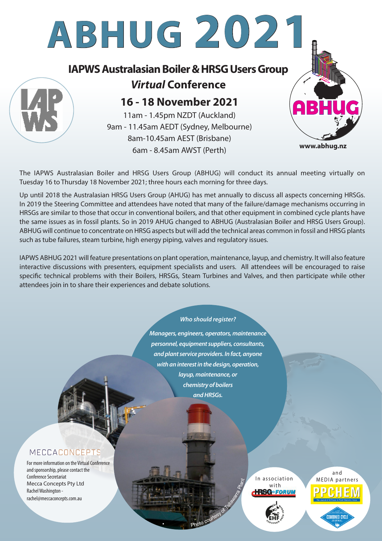

The IAPWS Australasian Boiler and HRSG Users Group (ABHUG) will conduct its annual meeting virtually on Tuesday 16 to Thursday 18 November 2021; three hours each morning for three days.

Up until 2018 the Australasian HRSG Users Group (AHUG) has met annually to discuss all aspects concerning HRSGs. In 2019 the Steering Committee and attendees have noted that many of the failure/damage mechanisms occurring in HRSGs are similar to those that occur in conventional boilers, and that other equipment in combined cycle plants have the same issues as in fossil plants. So in 2019 AHUG changed to ABHUG (Australasian Boiler and HRSG Users Group). ABHUG will continue to concentrate on HRSG aspects but will add the technical areas common in fossil and HRSG plants such as tube failures, steam turbine, high energy piping, valves and regulatory issues.

IAPWS ABHUG 2021 will feature presentations on plant operation, maintenance, layup, and chemistry. It will also feature interactive discussions with presenters, equipment specialists and users. All attendees will be encouraged to raise specific technical problems with their Boilers, HRSGs, Steam Turbines and Valves, and then participate while other attendees join in to share their experiences and debate solutions.

#### *Who should register?*

*Managers, engineers, operators, maintenance personnel, equipment suppliers, consultants, and plant service providers. In fact, anyone with an interest in the design, operation, layup, maintenance, or chemistry of boilers and HRSGs.*

Photo courtesy of Tallace

с



For more information on the Virtual Conference and sponsorship, please contact the Conference Secretariat Mecca Concepts Pty Ltd Rachel Washington rachel@meccaconcepts.com.au

In association with **+RSG**\*FORUM

Plant



a n d MEDIA partnersComrined Cycl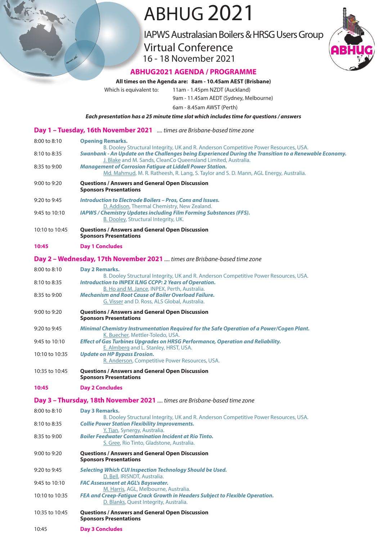# ABHUG 2021

IAPWS Australasian Boilers & HRSG Users Group

Virtual Conference 16 - 18 November 2021



### **ABHUG2021 AGENDA / PROGRAMME**

#### **All times on the Agenda are: 8am - 10.45am AEST (Brisbane)**

Which is equivalent to: 11am - 1.45pm NZDT (Auckland)

9am - 11.45am AEDT (Sydney, Melbourne)

6am - 8.45am AWST (Perth)

*Each presentation has a 25 minute time slot which includes time for questions / answers*

|                | Day 1 - Tuesday, 16th November 2021  times are Brisbane-based time zone                                                                                                                                                                                         |
|----------------|-----------------------------------------------------------------------------------------------------------------------------------------------------------------------------------------------------------------------------------------------------------------|
| 8:00 to 8:10   | <b>Opening Remarks.</b>                                                                                                                                                                                                                                         |
| 8:10 to 8:35   | B. Dooley Structural Integrity, UK and R. Anderson Competitive Power Resources, USA.<br>Swanbank - An Update on the Challenges being Experienced During the Transition to a Renewable Economy.<br>J. Blake and M. Sands, CleanCo Queensland Limited, Australia. |
| 8:35 to 9:00   | <b>Management of Corrosion Fatigue at Liddell Power Station.</b><br>Md. Mahmud, M. R. Ratheesh, R. Lang, S. Taylor and S. D. Mann, AGL Energy, Australia.                                                                                                       |
| 9:00 to 9:20   | <b>Questions / Answers and General Open Discussion</b><br><b>Sponsors Presentations</b>                                                                                                                                                                         |
| 9:20 to 9:45   | <b>Introduction to Electrode Boilers - Pros, Cons and Issues.</b>                                                                                                                                                                                               |
| 9:45 to 10:10  | D. Addison, Thermal Chemistry, New Zealand.<br><b>IAPWS / Chemistry Updates including Film Forming Substances (FFS).</b><br><b>B. Dooley, Structural Integrity, UK.</b>                                                                                         |
| 10:10 to 10:45 | <b>Questions / Answers and General Open Discussion</b><br><b>Sponsors Presentations</b>                                                                                                                                                                         |
| 10:45          | <b>Day 1 Concludes</b>                                                                                                                                                                                                                                          |
|                | Day 2 - Wednesday, 17th November 2021  times are Brisbane-based time zone                                                                                                                                                                                       |
| 8:00 to 8:10   | <b>Dav 2 Remarks.</b>                                                                                                                                                                                                                                           |
| 8:10 to 8:35   | B. Dooley Structural Integrity, UK and R. Anderson Competitive Power Resources, USA.<br><b>Introduction to INPEX ILNG CCPP: 2 Years of Operation.</b>                                                                                                           |
| 8:35 to 9:00   | B. Ho and M. Jance, INPEX, Perth, Australia.<br><b>Mechanism and Root Cause of Boiler Overload Failure.</b><br>G. Visser and D. Ross, ALS Global, Australia.                                                                                                    |
| 9:00 to 9:20   | <b>Questions / Answers and General Open Discussion</b><br><b>Sponsors Presentations</b>                                                                                                                                                                         |
| 9:20 to 9:45   | Minimal Chemistry Instrumentation Required for the Safe Operation of a Power/Cogen Plant.<br>K. Buecher, Mettler-Toledo, USA.                                                                                                                                   |
| 9:45 to 10:10  | <b>Effect of Gas Turbines Upgrades on HRSG Performance, Operation and Reliability.</b><br>E. Almberg and L. Stanley, HRST, USA.                                                                                                                                 |
| 10:10 to 10:35 | <b>Update on HP Bypass Erosion.</b><br>R. Anderson, Competitive Power Resources, USA.                                                                                                                                                                           |
| 10:35 to 10:45 | <b>Questions / Answers and General Open Discussion</b><br><b>Sponsors Presentations</b>                                                                                                                                                                         |
| 10:45          | <b>Day 2 Concludes</b>                                                                                                                                                                                                                                          |
|                | Day 3 - Thursday, 18th November 2021  times are Brisbane-based time zone                                                                                                                                                                                        |
| 8:00 to 8:10   | Day 3 Remarks.<br>B. Dooley Structural Integrity, UK and R. Anderson Competitive Power Resources, USA.                                                                                                                                                          |
| 8:10 to 8:35   | <b>Collie Power Station Flexibility Improvements.</b>                                                                                                                                                                                                           |
| 8:35 to 9:00   | Y. Tian, Synergy, Australia.<br><b>Boiler Feedwater Contamination Incident at Rio Tinto.</b><br>S. Gree, Rio Tinto, Gladstone, Australia.                                                                                                                       |
| 9:00 to 9:20   | <b>Questions / Answers and General Open Discussion</b><br><b>Sponsors Presentations</b>                                                                                                                                                                         |
| 9:20 to 9:45   | <b>Selecting Which CUI Inspection Technology Should be Used.</b>                                                                                                                                                                                                |
| 9:45 to 10:10  | D. Bell, IRISNDT, Australia.<br><b>FAC Assessment at AGL's Bayswater.</b>                                                                                                                                                                                       |
| 10:10 to 10:35 | M. Harris, AGL, Melbourne, Australia.<br>FEA and Creep-Fatigue Crack Growth in Headers Subject to Flexible Operation.<br>D. Blanks, Quest Integrity, Australia.                                                                                                 |
| 10:35 to 10:45 | <b>Questions / Answers and General Open Discussion</b><br><b>Sponsors Presentations</b>                                                                                                                                                                         |
| 10:45          | <b>Day 3 Concludes</b>                                                                                                                                                                                                                                          |